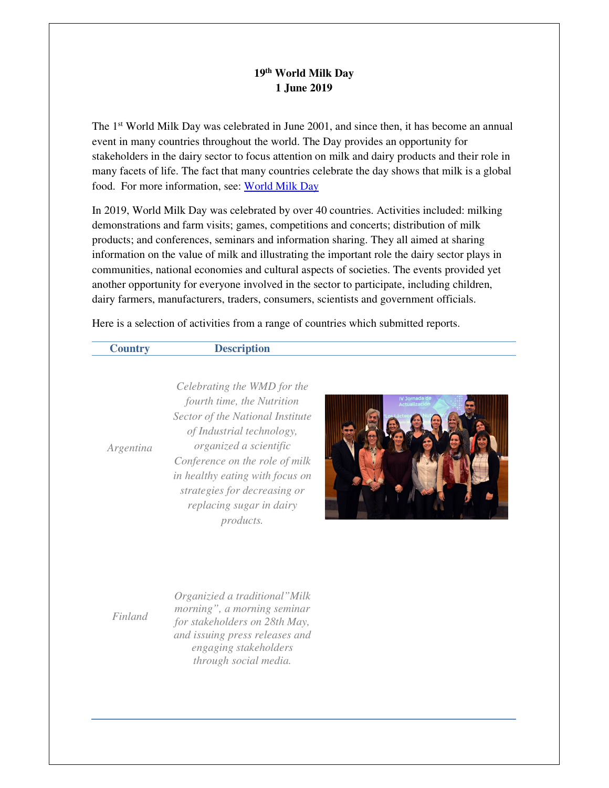## **19th World Milk Day 1 June 2019**

The 1st World Milk Day was celebrated in June 2001, and since then, it has become an annual event in many countries throughout the world. The Day provides an opportunity for stakeholders in the dairy sector to focus attention on milk and dairy products and their role in many facets of life. The fact that many countries celebrate the day shows that milk is a global food. For more information, see: World Milk Day

In 2019, World Milk Day was celebrated by over 40 countries. Activities included: milking demonstrations and farm visits; games, competitions and concerts; distribution of milk products; and conferences, seminars and information sharing. They all aimed at sharing information on the value of milk and illustrating the important role the dairy sector plays in communities, national economies and cultural aspects of societies. The events provided yet another opportunity for everyone involved in the sector to participate, including children, dairy farmers, manufacturers, traders, consumers, scientists and government officials.

Here is a selection of activities from a range of countries which submitted reports.

*Argentina*

**Country Description** 

*Celebrating the WMD for the fourth time, the Nutrition Sector of the National Institute of Industrial technology, organized a scientific Conference on the role of milk in healthy eating with focus on strategies for decreasing or replacing sugar in dairy products.*



*Finland*

*Organizied a traditional"Milk morning", a morning seminar for stakeholders on 28th May, and issuing press releases and engaging stakeholders through social media.*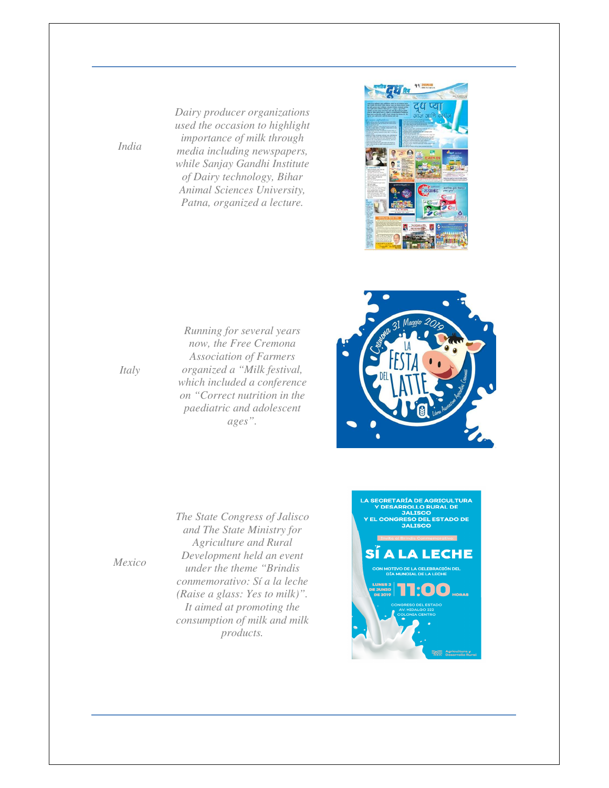*Dairy producer organizations used the occasion to highlight importance of milk through media including newspapers, while Sanjay Gandhi Institute of Dairy technology, Bihar Animal Sciences University, Patna, organized a lecture.* 





*Running for several years now, the Free Cremona Association of Farmers organized a "Milk festival, which included a conference on "Correct nutrition in the paediatric and adolescent ages".* 

*The State Congress of Jalisco* 

*products.* 

*Italy*

*India*

*and The State Ministry for Agriculture and Rural Development held an event under the theme "Brindis conmemorativo: Sí a la leche (Raise a glass: Yes to milk)". It aimed at promoting the consumption of milk and milk*  **LA SECRETARÍA DE AGRICULTURA<br>Y DESARROLLO RURAL DE<br>JALISCO<br>Y EL CONGRESO DEL ESTADO DE<br>JALISCO** A I ЕСНЕ

*Mexico*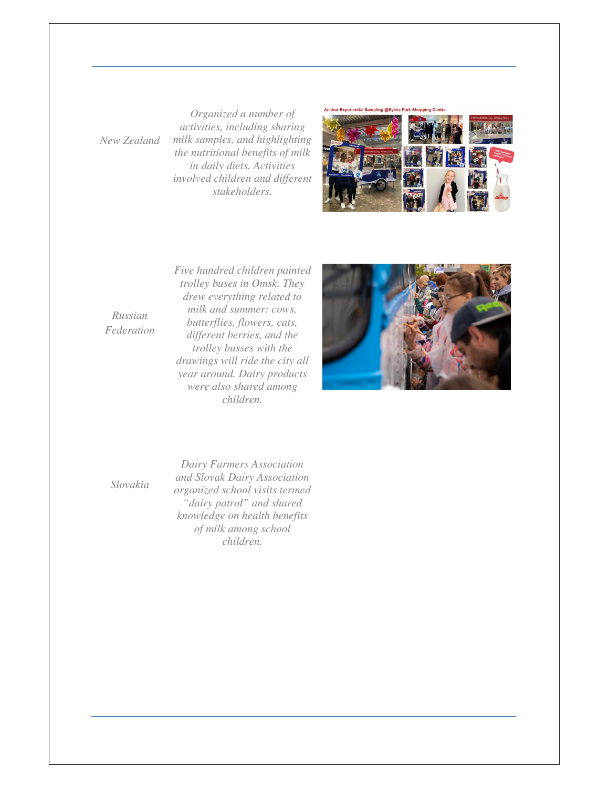*New Zealand*

*Organized a number of activities, including sharing milk samples, and highlighting the nutritional benefits of milk in daily diets. Activities involved children and different stakeholders.* 



*Russian Federation* *Five hundred children painted trolley buses in Omsk. They drew everything related to milk and summer: cows, butterflies, flowers, cats, different berries, and the trolley busses with the drawings will ride the city all year around. Dairy products were also shared among children.* 



*Slovakia*

*Dairy Farmers Association and Slovak Dairy Association organized school visits termed "dairy patrol" and shared knowledge on health benefits of milk among school children.*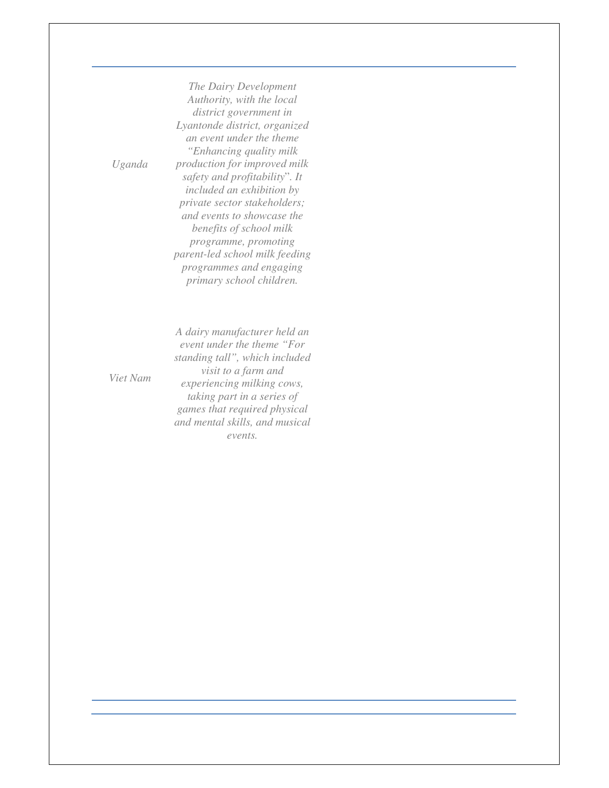*The Dairy Development Authority, with the local district government in Lyantonde district, organized an event under the theme "Enhancing quality milk production for improved milk safety and profitability*"*. It included an exhibition by private sector stakeholders; and events to showcase the benefits of school milk programme, promoting parent-led school milk feeding programmes and engaging primary school children.*

*A dairy manufacturer held an event under the theme "For standing tall", which included visit to a farm and experiencing milking cows, taking part in a series of games that required physical and mental skills, and musical events.*

*Viet Nam*

*Uganda*